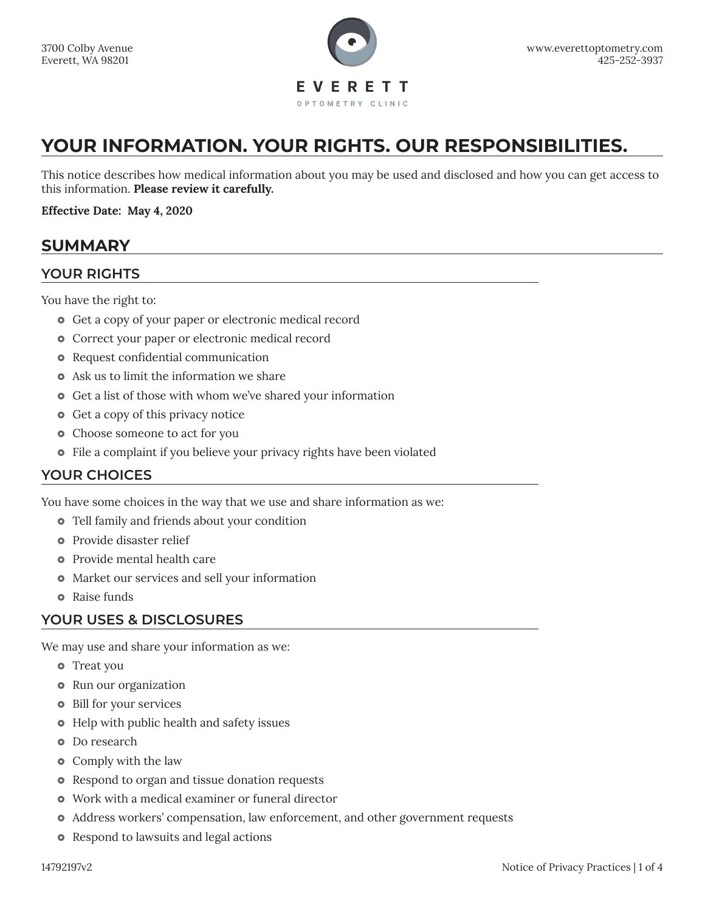

# **YOUR INFORMATION. YOUR RIGHTS. OUR RESPONSIBILITIES.**

This notice describes how medical information about you may be used and disclosed and how you can get access to this information. **Please review it carefully.**

### **Effective Date: May 4, 2020**

# **SUMMARY**

# **YOUR RIGHTS**

You have the right to:

- Get a copy of your paper or electronic medical record
- Correct your paper or electronic medical record
- Request confidential communication
- Ask us to limit the information we share
- **•** Get a list of those with whom we've shared your information
- Get a copy of this privacy notice
- Choose someone to act for you
- File a complaint if you believe your privacy rights have been violated

# **YOUR CHOICES**

You have some choices in the way that we use and share information as we:

- Tell family and friends about your condition
- Provide disaster relief
- Provide mental health care
- Market our services and sell your information
- **•** Raise funds

## **YOUR USES & DISCLOSURES**

We may use and share your information as we:

- **•** Treat you
- Run our organization
- Bill for your services
- Help with public health and safety issues
- **•** Do research
- Comply with the law
- Respond to organ and tissue donation requests
- Work with a medical examiner or funeral director
- Address workers' compensation, law enforcement, and other government requests
- Respond to lawsuits and legal actions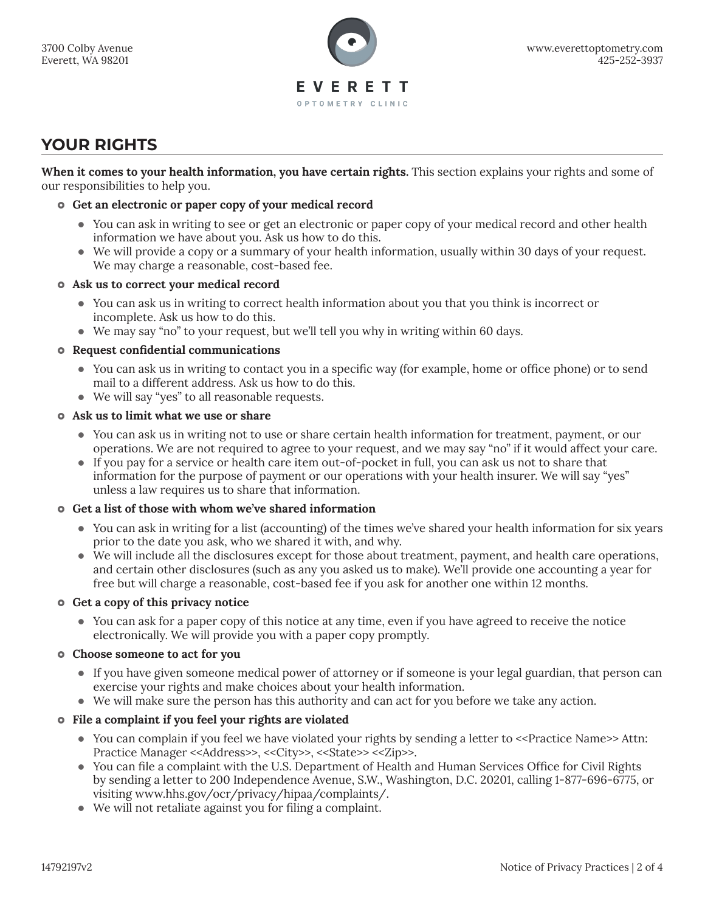

# **YOUR RIGHTS**

**When it comes to your health information, you have certain rights.** This section explains your rights and some of our responsibilities to help you.

## } **Get an electronic or paper copy of your medical record**

- You can ask in writing to see or get an electronic or paper copy of your medical record and other health information we have about you. Ask us how to do this.
- $\bullet$  We will provide a copy or a summary of your health information, usually within 30 days of your request. We may charge a reasonable, cost-based fee.

## } **Ask us to correct your medical record**

- You can ask us in writing to correct health information about you that you think is incorrect or incomplete. Ask us how to do this.
- $\bullet$  We may say "no" to your request, but we'll tell you why in writing within 60 days.

## } **Request confidential communications**

- You can ask us in writing to contact you in a specific way (for example, home or office phone) or to send mail to a different address. Ask us how to do this.
- We will say "yes" to all reasonable requests.

### } **Ask us to limit what we use or share**

- You can ask us in writing not to use or share certain health information for treatment, payment, or our operations. We are not required to agree to your request, and we may say "no" if it would affect your care.
- If you pay for a service or health care item out-of-pocket in full, you can ask us not to share that information for the purpose of payment or our operations with your health insurer. We will say "yes" unless a law requires us to share that information.

## } **Get a list of those with whom we've shared information**

- You can ask in writing for a list (accounting) of the times we've shared your health information for six years prior to the date you ask, who we shared it with, and why.
- $\bullet$  We will include all the disclosures except for those about treatment, payment, and health care operations, and certain other disclosures (such as any you asked us to make). We'll provide one accounting a year for free but will charge a reasonable, cost-based fee if you ask for another one within 12 months.

#### } **Get a copy of this privacy notice**

• You can ask for a paper copy of this notice at any time, even if you have agreed to receive the notice electronically. We will provide you with a paper copy promptly.

#### } **Choose someone to act for you**

- If you have given someone medical power of attorney or if someone is your legal guardian, that person can exercise your rights and make choices about your health information.
- $\bullet$  We will make sure the person has this authority and can act for you before we take any action.

## } **File a complaint if you feel your rights are violated**

- You can complain if you feel we have violated your rights by sending a letter to  $\leq$ Practice Name>> Attn: Practice Manager <<Address>>, <<City>>, <<State>> <<Zip>>.
- You can file a complaint with the U.S. Department of Health and Human Services Office for Civil Rights by sending a letter to 200 Independence Avenue, S.W., Washington, D.C. 20201, calling 1-877-696-6775, or visiting www.hhs.gov/ocr/privacy/hipaa/complaints/.
- We will not retaliate against you for filing a complaint.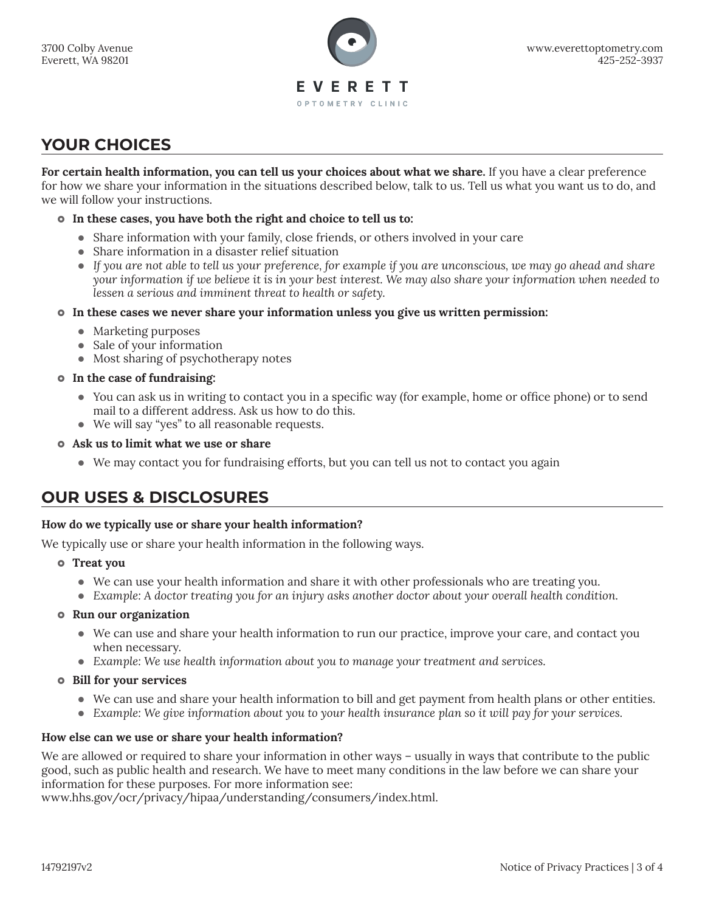

# **YOUR CHOICES**

**For certain health information, you can tell us your choices about what we share.** If you have a clear preference for how we share your information in the situations described below, talk to us. Tell us what you want us to do, and we will follow your instructions.

### } **In these cases, you have both the right and choice to tell us to:**

- Share information with your family, close friends, or others involved in your care
- Share information in a disaster relief situation
- If you are not able to tell us your preference, for example if you are unconscious, we may go ahead and share *your information if we believe it is in your best interest. We may also share your information when needed to lessen a serious and imminent threat to health or safety.*
- } **In these cases we never share your information unless you give us written permission:**
	- Marketing purposes
	- Sale of your information
	- Most sharing of psychotherapy notes

### } **In the case of fundraising:**

- You can ask us in writing to contact you in a specific way (for example, home or office phone) or to send mail to a different address. Ask us how to do this.
- We will say "yes" to all reasonable requests.
- } **Ask us to limit what we use or share**
	- We may contact you for fundraising efforts, but you can tell us not to contact you again

# **OUR USES & DISCLOSURES**

#### **How do we typically use or share your health information?**

We typically use or share your health information in the following ways.

- } **Treat you**
	- $\bullet$  We can use your health information and share it with other professionals who are treating you.
	- **Example:** A doctor treating you for an injury asks another doctor about your overall health condition.

#### $\circ$  Run our organization

- We can use and share your health information to run our practice, improve your care, and contact you when necessary.
- **Example:** We use health information about you to manage your treatment and services.

#### } **Bill for your services**

- We can use and share your health information to bill and get payment from health plans or other entities.
- **Example:** We give information about you to your health insurance plan so it will pay for your services.

#### **How else can we use or share your health information?**

We are allowed or required to share your information in other ways – usually in ways that contribute to the public good, such as public health and research. We have to meet many conditions in the law before we can share your information for these purposes. For more information see:

www.hhs.gov/ocr/privacy/hipaa/understanding/consumers/index.html.